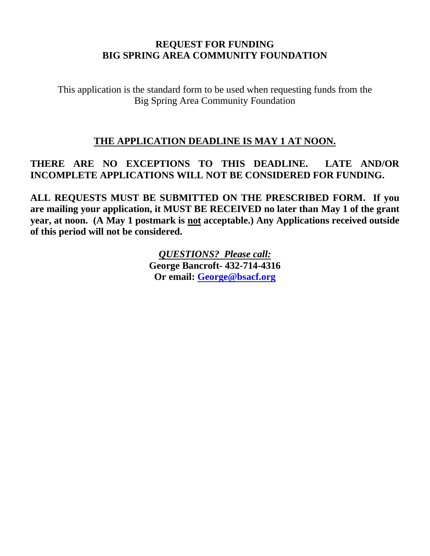### **REQUEST FOR FUNDING BIG SPRING AREA COMMUNITY FOUNDATION**

This application is the standard form to be used when requesting funds from the Big Spring Area Community Foundation

### **THE APPLICATION DEADLINE IS MAY 1 AT NOON.**

# **THERE ARE NO EXCEPTIONS TO THIS DEADLINE. LATE AND/OR INCOMPLETE APPLICATIONS WILL NOT BE CONSIDERED FOR FUNDING.**

**ALL REQUESTS MUST BE SUBMITTED ON THE PRESCRIBED FORM. If you are mailing your application, it MUST BE RECEIVED no later than May 1 of the grant year, at noon. (A May 1 postmark is not acceptable.) Any Applications received outside of this period will not be considered.**

> *QUESTIONS? Please call:* **George Bancroft- 432-714-4316 Or email: [George@bsacf.org](mailto:George@bsacf.org)**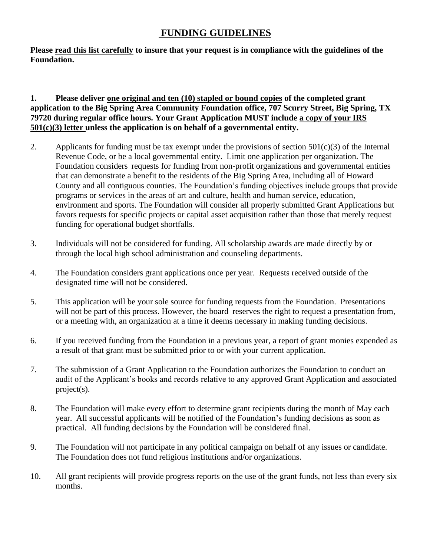### **FUNDING GUIDELINES**

**Please read this list carefully to insure that your request is in compliance with the guidelines of the Foundation.** 

### **1. Please deliver one original and ten (10) stapled or bound copies of the completed grant application to the Big Spring Area Community Foundation office, 707 Scurry Street, Big Spring, TX 79720 during regular office hours. Your Grant Application MUST include a copy of your IRS 501(c)(3) letter unless the application is on behalf of a governmental entity.**

- 2. Applicants for funding must be tax exempt under the provisions of section  $501(c)(3)$  of the Internal Revenue Code, or be a local governmental entity. Limit one application per organization. The Foundation considers requests for funding from non-profit organizations and governmental entities that can demonstrate a benefit to the residents of the Big Spring Area, including all of Howard County and all contiguous counties. The Foundation's funding objectives include groups that provide programs or services in the areas of art and culture, health and human service, education, environment and sports. The Foundation will consider all properly submitted Grant Applications but favors requests for specific projects or capital asset acquisition rather than those that merely request funding for operational budget shortfalls.
- 3. Individuals will not be considered for funding. All scholarship awards are made directly by or through the local high school administration and counseling departments.
- 4. The Foundation considers grant applications once per year. Requests received outside of the designated time will not be considered.
- 5. This application will be your sole source for funding requests from the Foundation. Presentations will not be part of this process. However, the board reserves the right to request a presentation from, or a meeting with, an organization at a time it deems necessary in making funding decisions.
- 6. If you received funding from the Foundation in a previous year, a report of grant monies expended as a result of that grant must be submitted prior to or with your current application.
- 7. The submission of a Grant Application to the Foundation authorizes the Foundation to conduct an audit of the Applicant's books and records relative to any approved Grant Application and associated project(s).
- 8. The Foundation will make every effort to determine grant recipients during the month of May each year. All successful applicants will be notified of the Foundation's funding decisions as soon as practical. All funding decisions by the Foundation will be considered final.
- 9. The Foundation will not participate in any political campaign on behalf of any issues or candidate. The Foundation does not fund religious institutions and/or organizations.
- 10. All grant recipients will provide progress reports on the use of the grant funds, not less than every six months.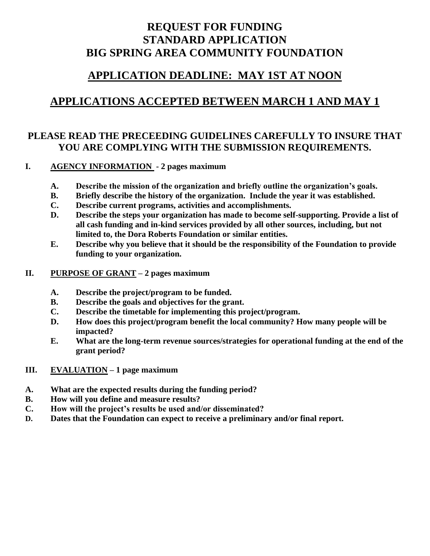# **REQUEST FOR FUNDING STANDARD APPLICATION BIG SPRING AREA COMMUNITY FOUNDATION**

# **APPLICATION DEADLINE: MAY 1ST AT NOON**

# **APPLICATIONS ACCEPTED BETWEEN MARCH 1 AND MAY 1**

## **PLEASE READ THE PRECEEDING GUIDELINES CAREFULLY TO INSURE THAT YOU ARE COMPLYING WITH THE SUBMISSION REQUIREMENTS.**

### **I. AGENCY INFORMATION - 2 pages maximum**

- **A. Describe the mission of the organization and briefly outline the organization's goals.**
- **B. Briefly describe the history of the organization. Include the year it was established.**
- **C. Describe current programs, activities and accomplishments.**
- **D. Describe the steps your organization has made to become self-supporting. Provide a list of all cash funding and in-kind services provided by all other sources, including, but not limited to, the Dora Roberts Foundation or similar entities.**
- **E. Describe why you believe that it should be the responsibility of the Foundation to provide funding to your organization.**

### **II. PURPOSE OF GRANT – 2 pages maximum**

- **A. Describe the project/program to be funded.**
- **B. Describe the goals and objectives for the grant.**
- **C. Describe the timetable for implementing this project/program.**
- **D. How does this project/program benefit the local community? How many people will be impacted?**
- **E. What are the long-term revenue sources/strategies for operational funding at the end of the grant period?**

### **III. EVALUATION – 1 page maximum**

- **A. What are the expected results during the funding period?**
- **B. How will you define and measure results?**
- **C. How will the project's results be used and/or disseminated?**
- **D. Dates that the Foundation can expect to receive a preliminary and/or final report.**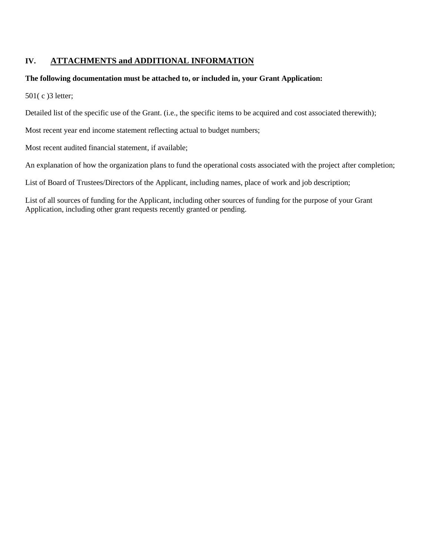### **IV. ATTACHMENTS and ADDITIONAL INFORMATION**

#### **The following documentation must be attached to, or included in, your Grant Application:**

501( c )3 letter;

Detailed list of the specific use of the Grant. (i.e., the specific items to be acquired and cost associated therewith);

Most recent year end income statement reflecting actual to budget numbers;

Most recent audited financial statement, if available;

An explanation of how the organization plans to fund the operational costs associated with the project after completion;

List of Board of Trustees/Directors of the Applicant, including names, place of work and job description;

List of all sources of funding for the Applicant, including other sources of funding for the purpose of your Grant Application, including other grant requests recently granted or pending.